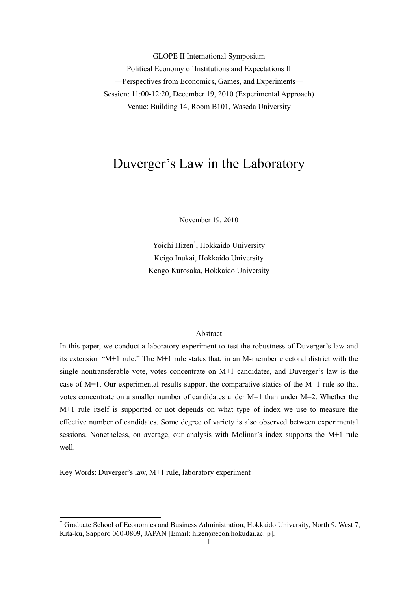GLOPE II International Symposium Political Economy of Institutions and Expectations II —Perspectives from Economics, Games, and Experiments— Session: 11:00-12:20, December 19, 2010 (Experimental Approach) Venue: Building 14, Room B101, Waseda University

# Duverger's Law in the Laboratory

November 19, 2010

Yoichi Hizen† , Hokkaido University Keigo Inukai, Hokkaido University Kengo Kurosaka, Hokkaido University

## Abstract

In this paper, we conduct a laboratory experiment to test the robustness of Duverger's law and its extension "M+1 rule." The M+1 rule states that, in an M-member electoral district with the single nontransferable vote, votes concentrate on M+1 candidates, and Duverger's law is the case of M=1. Our experimental results support the comparative statics of the M+1 rule so that votes concentrate on a smaller number of candidates under M=1 than under M=2. Whether the M+1 rule itself is supported or not depends on what type of index we use to measure the effective number of candidates. Some degree of variety is also observed between experimental sessions. Nonetheless, on average, our analysis with Molinar's index supports the M+1 rule well.

Key Words: Duverger's law, M+1 rule, laboratory experiment

-

<sup>&</sup>lt;sup>†</sup> Graduate School of Economics and Business Administration, Hokkaido University, North 9, West 7, Kita-ku, Sapporo 060-0809, JAPAN [Email: hizen@econ.hokudai.ac.jp].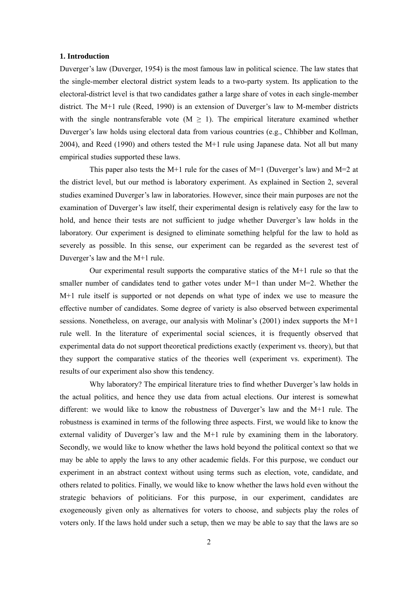## **1. Introduction**

Duverger's law (Duverger, 1954) is the most famous law in political science. The law states that the single-member electoral district system leads to a two-party system. Its application to the electoral-district level is that two candidates gather a large share of votes in each single-member district. The M+1 rule (Reed, 1990) is an extension of Duverger's law to M-member districts with the single nontransferable vote  $(M > 1)$ . The empirical literature examined whether Duverger's law holds using electoral data from various countries (e.g., Chhibber and Kollman, 2004), and Reed (1990) and others tested the M+1 rule using Japanese data. Not all but many empirical studies supported these laws.

This paper also tests the M+1 rule for the cases of M=1 (Duverger's law) and M=2 at the district level, but our method is laboratory experiment. As explained in Section 2, several studies examined Duverger's law in laboratories. However, since their main purposes are not the examination of Duverger's law itself, their experimental design is relatively easy for the law to hold, and hence their tests are not sufficient to judge whether Duverger's law holds in the laboratory. Our experiment is designed to eliminate something helpful for the law to hold as severely as possible. In this sense, our experiment can be regarded as the severest test of Duverger's law and the M+1 rule.

 Our experimental result supports the comparative statics of the M+1 rule so that the smaller number of candidates tend to gather votes under  $M=1$  than under  $M=2$ . Whether the M+1 rule itself is supported or not depends on what type of index we use to measure the effective number of candidates. Some degree of variety is also observed between experimental sessions. Nonetheless, on average, our analysis with Molinar's (2001) index supports the M+1 rule well. In the literature of experimental social sciences, it is frequently observed that experimental data do not support theoretical predictions exactly (experiment vs. theory), but that they support the comparative statics of the theories well (experiment vs. experiment). The results of our experiment also show this tendency.

 Why laboratory? The empirical literature tries to find whether Duverger's law holds in the actual politics, and hence they use data from actual elections. Our interest is somewhat different: we would like to know the robustness of Duverger's law and the M+1 rule. The robustness is examined in terms of the following three aspects. First, we would like to know the external validity of Duverger's law and the M+1 rule by examining them in the laboratory. Secondly, we would like to know whether the laws hold beyond the political context so that we may be able to apply the laws to any other academic fields. For this purpose, we conduct our experiment in an abstract context without using terms such as election, vote, candidate, and others related to politics. Finally, we would like to know whether the laws hold even without the strategic behaviors of politicians. For this purpose, in our experiment, candidates are exogeneously given only as alternatives for voters to choose, and subjects play the roles of voters only. If the laws hold under such a setup, then we may be able to say that the laws are so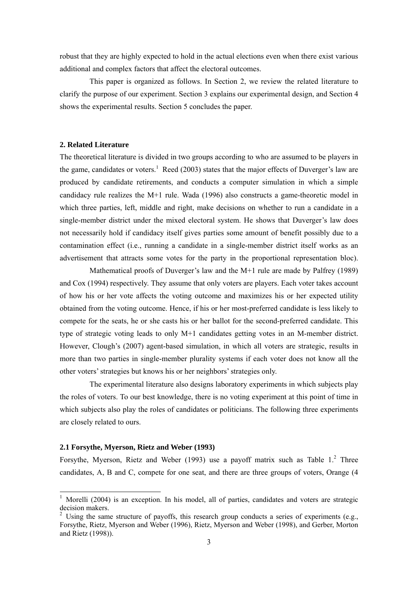robust that they are highly expected to hold in the actual elections even when there exist various additional and complex factors that affect the electoral outcomes.

 This paper is organized as follows. In Section 2, we review the related literature to clarify the purpose of our experiment. Section 3 explains our experimental design, and Section 4 shows the experimental results. Section 5 concludes the paper.

## **2. Related Literature**

The theoretical literature is divided in two groups according to who are assumed to be players in the game, candidates or voters.<sup>1</sup> Reed (2003) states that the major effects of Duverger's law are produced by candidate retirements, and conducts a computer simulation in which a simple candidacy rule realizes the M+1 rule. Wada (1996) also constructs a game-theoretic model in which three parties, left, middle and right, make decisions on whether to run a candidate in a single-member district under the mixed electoral system. He shows that Duverger's law does not necessarily hold if candidacy itself gives parties some amount of benefit possibly due to a contamination effect (i.e., running a candidate in a single-member district itself works as an advertisement that attracts some votes for the party in the proportional representation bloc).

 Mathematical proofs of Duverger's law and the M+1 rule are made by Palfrey (1989) and Cox (1994) respectively. They assume that only voters are players. Each voter takes account of how his or her vote affects the voting outcome and maximizes his or her expected utility obtained from the voting outcome. Hence, if his or her most-preferred candidate is less likely to compete for the seats, he or she casts his or her ballot for the second-preferred candidate. This type of strategic voting leads to only M+1 candidates getting votes in an M-member district. However, Clough's (2007) agent-based simulation, in which all voters are strategic, results in more than two parties in single-member plurality systems if each voter does not know all the other voters' strategies but knows his or her neighbors' strategies only.

 The experimental literature also designs laboratory experiments in which subjects play the roles of voters. To our best knowledge, there is no voting experiment at this point of time in which subjects also play the roles of candidates or politicians. The following three experiments are closely related to ours.

#### **2.1 Forsythe, Myerson, Rietz and Weber (1993)**

-

Forsythe, Myerson, Rietz and Weber (1993) use a payoff matrix such as Table  $1<sup>2</sup>$  Three candidates, A, B and C, compete for one seat, and there are three groups of voters, Orange (4

<sup>&</sup>lt;sup>1</sup> Morelli (2004) is an exception. In his model, all of parties, candidates and voters are strategic decision makers.<br><sup>2</sup> Using the same structure of payoffs, this research group conducts a series of experiments (e.g.,

Forsythe, Rietz, Myerson and Weber (1996), Rietz, Myerson and Weber (1998), and Gerber, Morton and Rietz (1998)).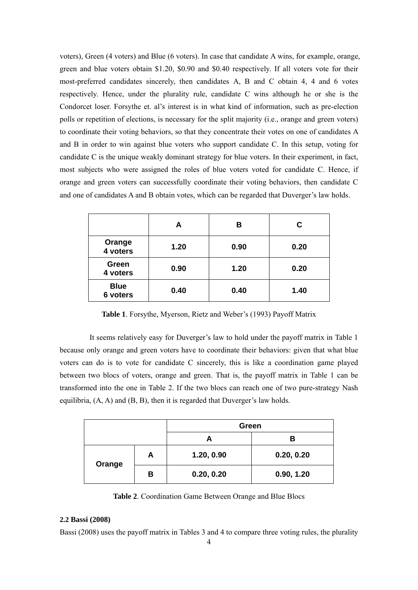voters), Green (4 voters) and Blue (6 voters). In case that candidate A wins, for example, orange, green and blue voters obtain \$1.20, \$0.90 and \$0.40 respectively. If all voters vote for their most-preferred candidates sincerely, then candidates A, B and C obtain 4, 4 and 6 votes respectively. Hence, under the plurality rule, candidate C wins although he or she is the Condorcet loser. Forsythe et. al's interest is in what kind of information, such as pre-election polls or repetition of elections, is necessary for the split majority (i.e., orange and green voters) to coordinate their voting behaviors, so that they concentrate their votes on one of candidates A and B in order to win against blue voters who support candidate C. In this setup, voting for candidate C is the unique weakly dominant strategy for blue voters. In their experiment, in fact, most subjects who were assigned the roles of blue voters voted for candidate C. Hence, if orange and green voters can successfully coordinate their voting behaviors, then candidate C and one of candidates A and B obtain votes, which can be regarded that Duverger's law holds.

|                         | А    | в    | С    |
|-------------------------|------|------|------|
| Orange<br>4 voters      | 1.20 | 0.90 | 0.20 |
| Green<br>4 voters       | 0.90 | 1.20 | 0.20 |
| <b>Blue</b><br>6 voters | 0.40 | 0.40 | 1.40 |

**Table 1**. Forsythe, Myerson, Rietz and Weber's (1993) Payoff Matrix

 It seems relatively easy for Duverger's law to hold under the payoff matrix in Table 1 because only orange and green voters have to coordinate their behaviors: given that what blue voters can do is to vote for candidate C sincerely, this is like a coordination game played between two blocs of voters, orange and green. That is, the payoff matrix in Table 1 can be transformed into the one in Table 2. If the two blocs can reach one of two pure-strategy Nash equilibria,  $(A, A)$  and  $(B, B)$ , then it is regarded that Duverger's law holds.

|        |   | Green      |            |
|--------|---|------------|------------|
|        |   |            | В          |
|        | А | 1.20, 0.90 | 0.20, 0.20 |
| Orange | в | 0.20, 0.20 | 0.90, 1.20 |

**Table 2**. Coordination Game Between Orange and Blue Blocs

## **2.2 Bassi (2008)**

Bassi (2008) uses the payoff matrix in Tables 3 and 4 to compare three voting rules, the plurality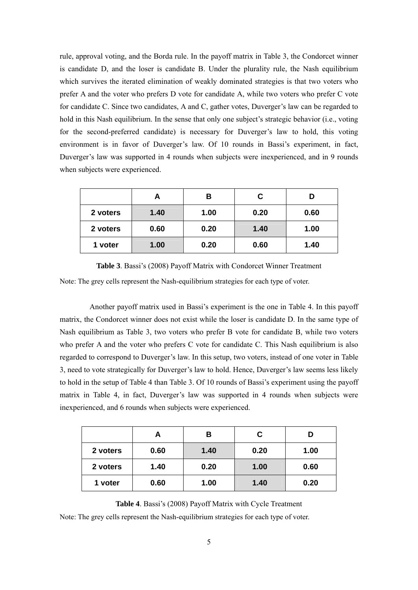rule, approval voting, and the Borda rule. In the payoff matrix in Table 3, the Condorcet winner is candidate D, and the loser is candidate B. Under the plurality rule, the Nash equilibrium which survives the iterated elimination of weakly dominated strategies is that two voters who prefer A and the voter who prefers D vote for candidate A, while two voters who prefer C vote for candidate C. Since two candidates, A and C, gather votes, Duverger's law can be regarded to hold in this Nash equilibrium. In the sense that only one subject's strategic behavior (i.e., voting for the second-preferred candidate) is necessary for Duverger's law to hold, this voting environment is in favor of Duverger's law. Of 10 rounds in Bassi's experiment, in fact, Duverger's law was supported in 4 rounds when subjects were inexperienced, and in 9 rounds when subjects were experienced.

|          | А    | В    | C    |      |
|----------|------|------|------|------|
| 2 voters | 1.40 | 1.00 | 0.20 | 0.60 |
| 2 voters | 0.60 | 0.20 | 1.40 | 1.00 |
| 1 voter  | 1.00 | 0.20 | 0.60 | 1.40 |

**Table 3**. Bassi's (2008) Payoff Matrix with Condorcet Winner Treatment Note: The grey cells represent the Nash-equilibrium strategies for each type of voter.

Another payoff matrix used in Bassi's experiment is the one in Table 4. In this payoff matrix, the Condorcet winner does not exist while the loser is candidate D. In the same type of Nash equilibrium as Table 3, two voters who prefer B vote for candidate B, while two voters who prefer A and the voter who prefers C vote for candidate C. This Nash equilibrium is also regarded to correspond to Duverger's law. In this setup, two voters, instead of one voter in Table 3, need to vote strategically for Duverger's law to hold. Hence, Duverger's law seems less likely to hold in the setup of Table 4 than Table 3. Of 10 rounds of Bassi's experiment using the payoff matrix in Table 4, in fact, Duverger's law was supported in 4 rounds when subjects were inexperienced, and 6 rounds when subjects were experienced.

|          | А    | в    | C    |      |
|----------|------|------|------|------|
| 2 voters | 0.60 | 1.40 | 0.20 | 1.00 |
| 2 voters | 1.40 | 0.20 | 1.00 | 0.60 |
| 1 voter  | 0.60 | 1.00 | 1.40 | 0.20 |

**Table 4**. Bassi's (2008) Payoff Matrix with Cycle Treatment Note: The grey cells represent the Nash-equilibrium strategies for each type of voter.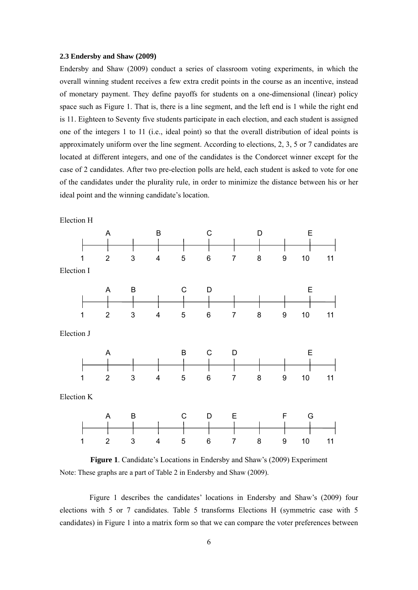#### **2.3 Endersby and Shaw (2009)**

Endersby and Shaw (2009) conduct a series of classroom voting experiments, in which the overall winning student receives a few extra credit points in the course as an incentive, instead of monetary payment. They define payoffs for students on a one-dimensional (linear) policy space such as Figure 1. That is, there is a line segment, and the left end is 1 while the right end is 11. Eighteen to Seventy five students participate in each election, and each student is assigned one of the integers 1 to 11 (i.e., ideal point) so that the overall distribution of ideal points is approximately uniform over the line segment. According to elections, 2, 3, 5 or 7 candidates are located at different integers, and one of the candidates is the Condorcet winner except for the case of 2 candidates. After two pre-election polls are held, each student is asked to vote for one of the candidates under the plurality rule, in order to minimize the distance between his or her ideal point and the winning candidate's location.





 Figure 1 describes the candidates' locations in Endersby and Shaw's (2009) four elections with 5 or 7 candidates. Table 5 transforms Elections H (symmetric case with 5 candidates) in Figure 1 into a matrix form so that we can compare the voter preferences between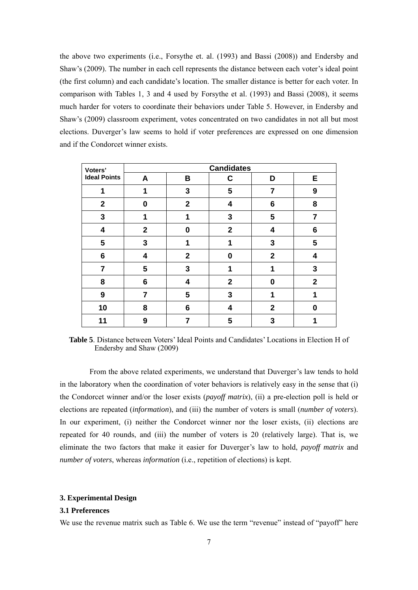the above two experiments (i.e., Forsythe et. al. (1993) and Bassi (2008)) and Endersby and Shaw's (2009). The number in each cell represents the distance between each voter's ideal point (the first column) and each candidate's location. The smaller distance is better for each voter. In comparison with Tables 1, 3 and 4 used by Forsythe et al. (1993) and Bassi (2008), it seems much harder for voters to coordinate their behaviors under Table 5. However, in Endersby and Shaw's (2009) classroom experiment, votes concentrated on two candidates in not all but most elections. Duverger's law seems to hold if voter preferences are expressed on one dimension and if the Condorcet winner exists.

| Voters'                 | <b>Candidates</b> |                         |                |              |              |  |  |
|-------------------------|-------------------|-------------------------|----------------|--------------|--------------|--|--|
| <b>Ideal Points</b>     | A                 | B                       | C              | D            | Е            |  |  |
| 1                       | 1                 | 3                       | 5              | 7            | 9            |  |  |
| $\overline{2}$          | 0                 | $\overline{2}$          | 4              | 6            | 8            |  |  |
| 3                       | 1                 | 1                       | 3              | 5            | 7            |  |  |
| $\overline{\mathbf{4}}$ | $\mathbf{2}$      | 0                       | $\overline{2}$ | 4            | 6            |  |  |
| 5                       | 3                 | 1                       | 1              | 3            | 5            |  |  |
| 6                       | 4                 | $\overline{2}$          | 0              | $\mathbf{2}$ | 4            |  |  |
| $\overline{7}$          | 5                 | 3                       | 1              | 1            | 3            |  |  |
| 8                       | 6                 | $\overline{\mathbf{4}}$ | $\mathbf{2}$   | 0            | $\mathbf{2}$ |  |  |
| 9                       | 7                 | 5                       | 3              | 1            | 1            |  |  |
| 10                      | 8                 | 6                       | 4              | $\mathbf{2}$ | 0            |  |  |
| 11                      | 9                 | 7                       | 5              | 3            |              |  |  |

**Table 5**. Distance between Voters' Ideal Points and Candidates' Locations in Election H of Endersby and Shaw (2009)

From the above related experiments, we understand that Duverger's law tends to hold in the laboratory when the coordination of voter behaviors is relatively easy in the sense that (i) the Condorcet winner and/or the loser exists (*payoff matrix*), (ii) a pre-election poll is held or elections are repeated (*information*), and (iii) the number of voters is small (*number of voters*). In our experiment, (i) neither the Condorcet winner nor the loser exists, (ii) elections are repeated for 40 rounds, and (iii) the number of voters is 20 (relatively large). That is, we eliminate the two factors that make it easier for Duverger's law to hold, *payoff matrix* and *number of voters*, whereas *information* (i.e., repetition of elections) is kept.

#### **3. Experimental Design**

## **3.1 Preferences**

We use the revenue matrix such as Table 6. We use the term "revenue" instead of "payoff" here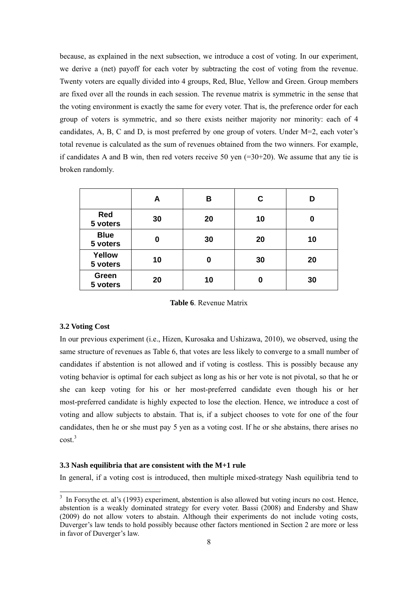because, as explained in the next subsection, we introduce a cost of voting. In our experiment, we derive a (net) payoff for each voter by subtracting the cost of voting from the revenue. Twenty voters are equally divided into 4 groups, Red, Blue, Yellow and Green. Group members are fixed over all the rounds in each session. The revenue matrix is symmetric in the sense that the voting environment is exactly the same for every voter. That is, the preference order for each group of voters is symmetric, and so there exists neither majority nor minority: each of 4 candidates, A, B, C and D, is most preferred by one group of voters. Under M=2, each voter's total revenue is calculated as the sum of revenues obtained from the two winners. For example, if candidates A and B win, then red voters receive 50 yen  $(=30+20)$ . We assume that any tie is broken randomly.

|                         | А  | В  | С  | D  |
|-------------------------|----|----|----|----|
| <b>Red</b><br>5 voters  | 30 | 20 | 10 |    |
| <b>Blue</b><br>5 voters | 0  | 30 | 20 | 10 |
| Yellow<br>5 voters      | 10 | Ω  | 30 | 20 |
| Green<br>5 voters       | 20 | 10 | 0  | 30 |

**Table 6**. Revenue Matrix

#### **3.2 Voting Cost**

In our previous experiment (i.e., Hizen, Kurosaka and Ushizawa, 2010), we observed, using the same structure of revenues as Table 6, that votes are less likely to converge to a small number of candidates if abstention is not allowed and if voting is costless. This is possibly because any voting behavior is optimal for each subject as long as his or her vote is not pivotal, so that he or she can keep voting for his or her most-preferred candidate even though his or her most-preferred candidate is highly expected to lose the election. Hence, we introduce a cost of voting and allow subjects to abstain. That is, if a subject chooses to vote for one of the four candidates, then he or she must pay 5 yen as a voting cost. If he or she abstains, there arises no  $cost<sup>3</sup>$ 

## **3.3 Nash equilibria that are consistent with the M+1 rule**

In general, if a voting cost is introduced, then multiple mixed-strategy Nash equilibria tend to

<sup>&</sup>lt;sup>3</sup> In Forsythe et. al's (1993) experiment, abstention is also allowed but voting incurs no cost. Hence, abstention is a weakly dominated strategy for every voter. Bassi (2008) and Endersby and Shaw (2009) do not allow voters to abstain. Although their experiments do not include voting costs, Duverger's law tends to hold possibly because other factors mentioned in Section 2 are more or less in favor of Duverger's law.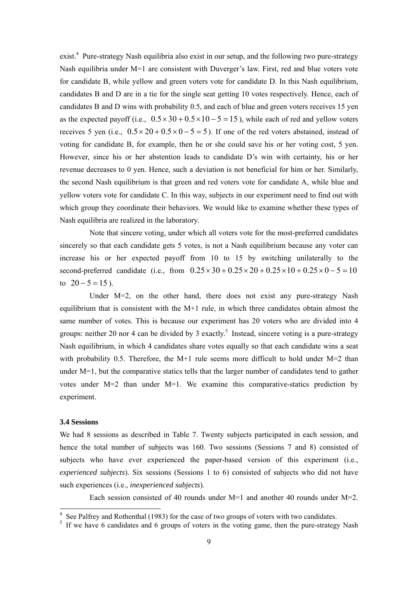exist.<sup>4</sup> Pure-strategy Nash equilibria also exist in our setup, and the following two pure-strategy Nash equilibria under M=1 are consistent with Duverger's law. First, red and blue voters vote for candidate B, while yellow and green voters vote for candidate D. In this Nash equilibrium, candidates B and D are in a tie for the single seat getting 10 votes respectively. Hence, each of candidates B and D wins with probability 0.5, and each of blue and green voters receives 15 yen as the expected payoff (i.e.,  $0.5 \times 30 + 0.5 \times 10 - 5 = 15$ ), while each of red and yellow voters receives 5 yen (i.e.,  $0.5 \times 20 + 0.5 \times 0 - 5 = 5$ ). If one of the red voters abstained, instead of voting for candidate B, for example, then he or she could save his or her voting cost, 5 yen. However, since his or her abstention leads to candidate D's win with certainty, his or her revenue decreases to 0 yen. Hence, such a deviation is not beneficial for him or her. Similarly, the second Nash equilibrium is that green and red voters vote for candidate A, while blue and yellow voters vote for candidate C. In this way, subjects in our experiment need to find out with which group they coordinate their behaviors. We would like to examine whether these types of Nash equilibria are realized in the laboratory.

Note that sincere voting, under which all voters vote for the most-preferred candidates sincerely so that each candidate gets 5 votes, is not a Nash equilibrium because any voter can increase his or her expected payoff from 10 to 15 by switching unilaterally to the second-preferred candidate (i.e., from  $0.25 \times 30 + 0.25 \times 20 + 0.25 \times 10 + 0.25 \times 0 - 5 = 10$ to  $20 - 5 = 15$ ).

Under  $M=2$ , on the other hand, there does not exist any pure-strategy Nash equilibrium that is consistent with the M+1 rule, in which three candidates obtain almost the same number of votes. This is because our experiment has 20 voters who are divided into 4 groups: neither 20 nor 4 can be divided by 3 exactly.<sup>5</sup> Instead, sincere voting is a pure-strategy Nash equilibrium, in which 4 candidates share votes equally so that each candidate wins a seat with probability 0.5. Therefore, the M+1 rule seems more difficult to hold under  $M=2$  than under M=1, but the comparative statics tells that the larger number of candidates tend to gather votes under M=2 than under M=1. We examine this comparative-statics prediction by experiment.

## **3.4 Sessions**

1

We had 8 sessions as described in Table 7. Twenty subjects participated in each session, and hence the total number of subjects was 160. Two sessions (Sessions 7 and 8) consisted of subjects who have ever experienced the paper-based version of this experiment (i.e., *experienced subjects*). Six sessions (Sessions 1 to 6) consisted of subjects who did not have such experiences (i.e., *inexperienced subjects*).

Each session consisted of 40 rounds under  $M=1$  and another 40 rounds under  $M=2$ .

<sup>4</sup> See Palfrey and Rothenthal (1983) for the case of two groups of voters with two candidates.

<sup>&</sup>lt;sup>5</sup> If we have 6 candidates and 6 groups of voters in the voting game, then the pure-strategy Nash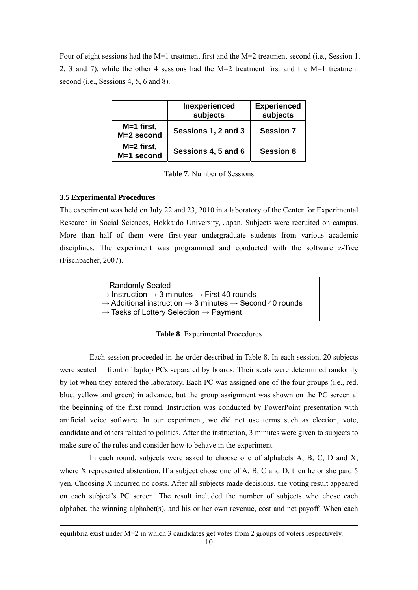Four of eight sessions had the M=1 treatment first and the M=2 treatment second (i.e., Session 1, 2, 3 and 7), while the other 4 sessions had the M=2 treatment first and the M=1 treatment second (i.e., Sessions 4, 5, 6 and 8).

|                            | Inexperienced<br>subjects | <b>Experienced</b><br>subjects |
|----------------------------|---------------------------|--------------------------------|
| $M=1$ first,<br>M=2 second | Sessions 1, 2 and 3       | <b>Session 7</b>               |
| $M=2$ first,<br>M=1 second | Sessions 4, 5 and 6       | <b>Session 8</b>               |

**Table 7**. Number of Sessions

## **3.5 Experimental Procedures**

1

The experiment was held on July 22 and 23, 2010 in a laboratory of the Center for Experimental Research in Social Sciences, Hokkaido University, Japan. Subjects were recruited on campus. More than half of them were first-year undergraduate students from various academic disciplines. The experiment was programmed and conducted with the software z-Tree (Fischbacher, 2007).

| <b>Randomly Seated</b>                                                                      |  |
|---------------------------------------------------------------------------------------------|--|
| $\rightarrow$ Instruction $\rightarrow$ 3 minutes $\rightarrow$ First 40 rounds             |  |
| $\rightarrow$ Additional instruction $\rightarrow$ 3 minutes $\rightarrow$ Second 40 rounds |  |
| $\rightarrow$ Tasks of Lottery Selection $\rightarrow$ Payment                              |  |
|                                                                                             |  |

**Table 8**. Experimental Procedures

 Each session proceeded in the order described in Table 8. In each session, 20 subjects were seated in front of laptop PCs separated by boards. Their seats were determined randomly by lot when they entered the laboratory. Each PC was assigned one of the four groups (i.e., red, blue, yellow and green) in advance, but the group assignment was shown on the PC screen at the beginning of the first round. Instruction was conducted by PowerPoint presentation with artificial voice software. In our experiment, we did not use terms such as election, vote, candidate and others related to politics. After the instruction, 3 minutes were given to subjects to make sure of the rules and consider how to behave in the experiment.

In each round, subjects were asked to choose one of alphabets A, B, C, D and X, where X represented abstention. If a subject chose one of A, B, C and D, then he or she paid 5 yen. Choosing X incurred no costs. After all subjects made decisions, the voting result appeared on each subject's PC screen. The result included the number of subjects who chose each alphabet, the winning alphabet $(s)$ , and his or her own revenue, cost and net payoff. When each

equilibria exist under M=2 in which 3 candidates get votes from 2 groups of voters respectively.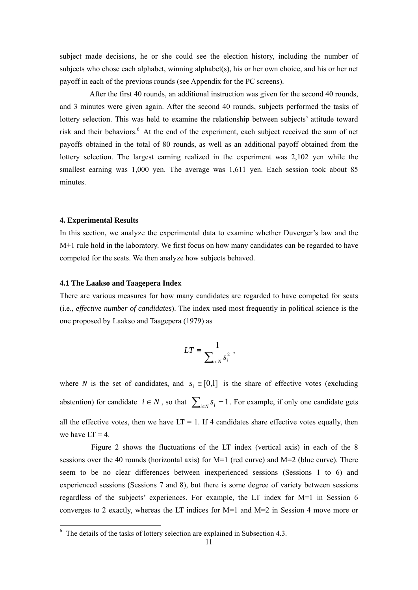subject made decisions, he or she could see the election history, including the number of subjects who chose each alphabet, winning alphabet(s), his or her own choice, and his or her net payoff in each of the previous rounds (see Appendix for the PC screens).

After the first 40 rounds, an additional instruction was given for the second 40 rounds, and 3 minutes were given again. After the second 40 rounds, subjects performed the tasks of lottery selection. This was held to examine the relationship between subjects' attitude toward risk and their behaviors.<sup>6</sup> At the end of the experiment, each subject received the sum of net payoffs obtained in the total of 80 rounds, as well as an additional payoff obtained from the lottery selection. The largest earning realized in the experiment was 2,102 yen while the smallest earning was 1,000 yen. The average was 1,611 yen. Each session took about 85 minutes.

#### **4. Experimental Results**

In this section, we analyze the experimental data to examine whether Duverger's law and the M+1 rule hold in the laboratory. We first focus on how many candidates can be regarded to have competed for the seats. We then analyze how subjects behaved.

#### **4.1 The Laakso and Taagepera Index**

There are various measures for how many candidates are regarded to have competed for seats (i.e., *effective number of candidates*). The index used most frequently in political science is the one proposed by Laakso and Taagepera (1979) as

$$
LT \equiv \frac{1}{\sum_{i \in N} s_i^2},
$$

where *N* is the set of candidates, and  $s_i \in [0,1]$  is the share of effective votes (excluding abstention) for candidate  $i \in N$ , so that  $\sum_{i \in N} s_i = 1$ . For example, if only one candidate gets all the effective votes, then we have  $LT = 1$ . If 4 candidates share effective votes equally, then we have  $LT = 4$ .

 Figure 2 shows the fluctuations of the LT index (vertical axis) in each of the 8 sessions over the 40 rounds (horizontal axis) for M=1 (red curve) and M=2 (blue curve). There seem to be no clear differences between inexperienced sessions (Sessions 1 to 6) and experienced sessions (Sessions 7 and 8), but there is some degree of variety between sessions regardless of the subjects' experiences. For example, the LT index for M=1 in Session 6 converges to 2 exactly, whereas the LT indices for M=1 and M=2 in Session 4 move more or

 $\overline{6}$  The details of the tasks of lottery selection are explained in Subsection 4.3.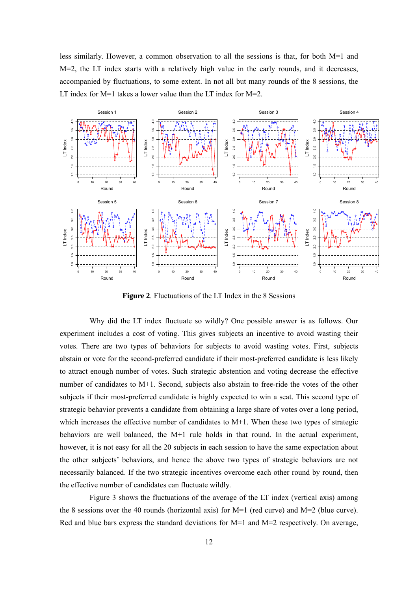less similarly. However, a common observation to all the sessions is that, for both  $M=1$  and M=2, the LT index starts with a relatively high value in the early rounds, and it decreases, accompanied by fluctuations, to some extent. In not all but many rounds of the 8 sessions, the LT index for M=1 takes a lower value than the LT index for M=2.



**Figure 2**. Fluctuations of the LT Index in the 8 Sessions

Why did the LT index fluctuate so wildly? One possible answer is as follows. Our experiment includes a cost of voting. This gives subjects an incentive to avoid wasting their votes. There are two types of behaviors for subjects to avoid wasting votes. First, subjects abstain or vote for the second-preferred candidate if their most-preferred candidate is less likely to attract enough number of votes. Such strategic abstention and voting decrease the effective number of candidates to M+1. Second, subjects also abstain to free-ride the votes of the other subjects if their most-preferred candidate is highly expected to win a seat. This second type of strategic behavior prevents a candidate from obtaining a large share of votes over a long period, which increases the effective number of candidates to  $M+1$ . When these two types of strategic behaviors are well balanced, the M+1 rule holds in that round. In the actual experiment, however, it is not easy for all the 20 subjects in each session to have the same expectation about the other subjects' behaviors, and hence the above two types of strategic behaviors are not necessarily balanced. If the two strategic incentives overcome each other round by round, then the effective number of candidates can fluctuate wildly.

Figure 3 shows the fluctuations of the average of the LT index (vertical axis) among the 8 sessions over the 40 rounds (horizontal axis) for M=1 (red curve) and M=2 (blue curve). Red and blue bars express the standard deviations for  $M=1$  and  $M=2$  respectively. On average,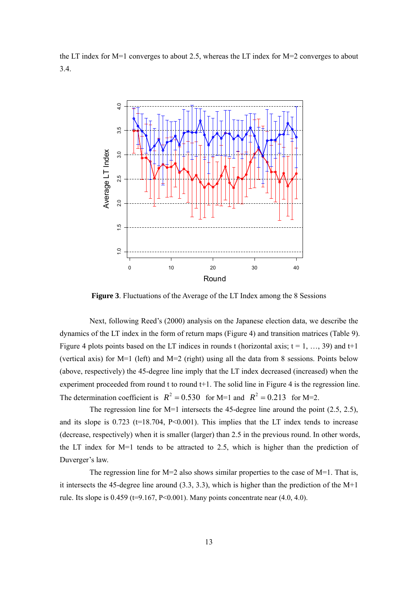the LT index for M=1 converges to about 2.5, whereas the LT index for M=2 converges to about 3.4.



**Figure 3**. Fluctuations of the Average of the LT Index among the 8 Sessions

Next, following Reed's (2000) analysis on the Japanese election data, we describe the dynamics of the LT index in the form of return maps (Figure 4) and transition matrices (Table 9). Figure 4 plots points based on the LT indices in rounds t (horizontal axis;  $t = 1, ..., 39$ ) and  $t+1$ (vertical axis) for M=1 (left) and M=2 (right) using all the data from 8 sessions. Points below (above, respectively) the 45-degree line imply that the LT index decreased (increased) when the experiment proceeded from round t to round t+1. The solid line in Figure 4 is the regression line. The determination coefficient is  $R^2 = 0.530$  for M=1 and  $R^2 = 0.213$  for M=2.

The regression line for M=1 intersects the 45-degree line around the point (2.5, 2.5), and its slope is  $0.723$  (t=18.704, P<0.001). This implies that the LT index tends to increase (decrease, respectively) when it is smaller (larger) than 2.5 in the previous round. In other words, the LT index for M=1 tends to be attracted to 2.5, which is higher than the prediction of Duverger's law.

The regression line for M=2 also shows similar properties to the case of M=1. That is, it intersects the 45-degree line around (3.3, 3.3), which is higher than the prediction of the M+1 rule. Its slope is  $0.459$  (t=9.167, P<0.001). Many points concentrate near  $(4.0, 4.0)$ .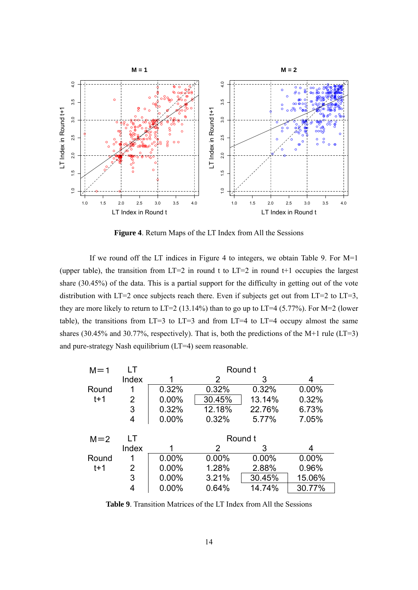

**Figure 4**. Return Maps of the LT Index from All the Sessions

 If we round off the LT indices in Figure 4 to integers, we obtain Table 9. For M=1 (upper table), the transition from  $LT=2$  in round t to  $LT=2$  in round t+1 occupies the largest share (30.45%) of the data. This is a partial support for the difficulty in getting out of the vote distribution with  $LT=2$  once subjects reach there. Even if subjects get out from  $LT=2$  to  $LT=3$ , they are more likely to return to LT=2 (13.14%) than to go up to LT=4 (5.77%). For M=2 (lower table), the transitions from  $LT=3$  to  $LT=3$  and from  $LT=4$  to  $LT=4$  occupy almost the same shares (30.45% and 30.77%, respectively). That is, both the predictions of the M+1 rule (LT=3) and pure-strategy Nash equilibrium (LT=4) seem reasonable.

| $M = 1$ |                | Round t  |                |         |        |  |  |
|---------|----------------|----------|----------------|---------|--------|--|--|
|         | Index          |          | $\overline{2}$ | 3       | 4      |  |  |
| Round   | 1              | 0.32%    | 0.32%          | 0.32%   | 0.00%  |  |  |
| $t+1$   | 2              | 0.00%    | 30.45%         | 13.14%  | 0.32%  |  |  |
|         | 3              | 0.32%    | 12.18%         | 22.76%  | 6.73%  |  |  |
|         | 4              | 0.00%    | 0.32%          | 5.77%   | 7.05%  |  |  |
|         |                |          |                |         |        |  |  |
| $M=2$   | LT             |          |                | Round t |        |  |  |
|         | Index          |          | $\mathcal{P}$  | 3       | 4      |  |  |
| Round   | 1              | 0.00%    | 0.00%          | 0.00%   | 0.00%  |  |  |
| $t+1$   | $\overline{2}$ | $0.00\%$ | 1.28%          | 2.88%   | 0.96%  |  |  |
|         | 3              | $0.00\%$ | 3.21%          | 30.45%  | 15.06% |  |  |

**Table 9**. Transition Matrices of the LT Index from All the Sessions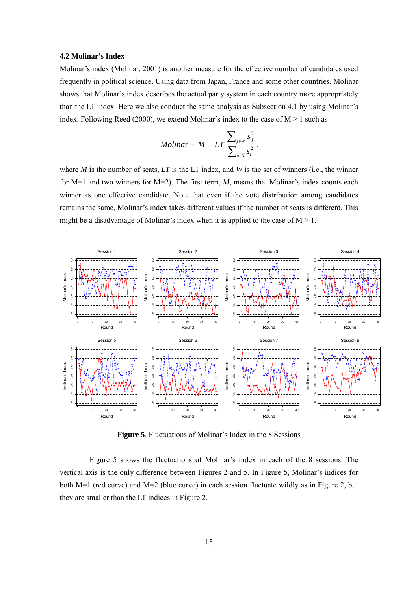## **4.2 Molinar's Index**

Molinar's index (Molinar, 2001) is another measure for the effective number of candidates used frequently in political science. Using data from Japan, France and some other countries, Molinar shows that Molinar's index describes the actual party system in each country more appropriately than the LT index. Here we also conduct the same analysis as Subsection 4.1 by using Molinar's index. Following Reed (2000), we extend Molinar's index to the case of  $M \ge 1$  such as

$$
Molinar = M + LT \frac{\sum_{j \notin W} s_j^2}{\sum_{i \in N} s_i^2},
$$

where *M* is the number of seats, *LT* is the LT index, and *W* is the set of winners (i.e., the winner for M=1 and two winners for M=2). The first term, *M*, means that Molinar's index counts each winner as one effective candidate. Note that even if the vote distribution among candidates remains the same, Molinar's index takes different values if the number of seats is different. This might be a disadvantage of Molinar's index when it is applied to the case of  $M \ge 1$ .



**Figure 5**. Fluctuations of Molinar's Index in the 8 Sessions

Figure 5 shows the fluctuations of Molinar's index in each of the 8 sessions. The vertical axis is the only difference between Figures 2 and 5. In Figure 5, Molinar's indices for both M=1 (red curve) and M=2 (blue curve) in each session fluctuate wildly as in Figure 2, but they are smaller than the LT indices in Figure 2.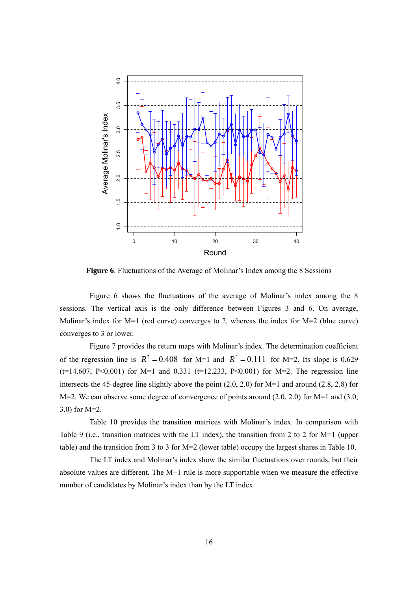

**Figure 6**. Fluctuations of the Average of Molinar's Index among the 8 Sessions

Figure 6 shows the fluctuations of the average of Molinar's index among the 8 sessions. The vertical axis is the only difference between Figures 3 and 6. On average, Molinar's index for M=1 (red curve) converges to 2, whereas the index for M=2 (blue curve) converges to 3 or lower.

Figure 7 provides the return maps with Molinar's index. The determination coefficient of the regression line is  $R^2 = 0.408$  for M=1 and  $R^2 = 0.111$  for M=2. Its slope is 0.629  $(t=14.607, P<0.001)$  for M=1 and 0.331 (t=12.233, P<0.001) for M=2. The regression line intersects the 45-degree line slightly above the point (2.0, 2.0) for M=1 and around (2.8, 2.8) for M=2. We can observe some degree of convergence of points around (2.0, 2.0) for M=1 and (3.0, 3.0) for M=2.

Table 10 provides the transition matrices with Molinar's index. In comparison with Table 9 (i.e., transition matrices with the LT index), the transition from 2 to 2 for M=1 (upper table) and the transition from 3 to 3 for M=2 (lower table) occupy the largest shares in Table 10.

The LT index and Molinar's index show the similar fluctuations over rounds, but their absolute values are different. The M+1 rule is more supportable when we measure the effective number of candidates by Molinar's index than by the LT index.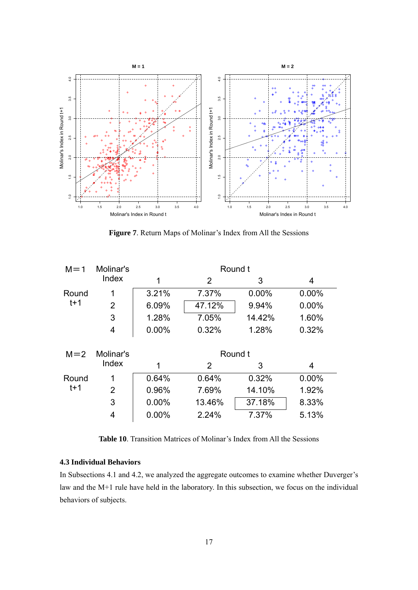

**Figure 7**. Return Maps of Molinar's Index from All the Sessions

| $M = 1$ | Molinar's      | Round t  |                |         |          |  |
|---------|----------------|----------|----------------|---------|----------|--|
|         | Index          | 1        | $\overline{2}$ | 3       | 4        |  |
| Round   | 1              | 3.21%    | 7.37%          | 0.00%   | $0.00\%$ |  |
| $t+1$   | $\overline{2}$ | 6.09%    | 47.12%         | 9.94%   | $0.00\%$ |  |
|         | 3              | 1.28%    | 7.05%          | 14.42%  | 1.60%    |  |
|         | 4              | $0.00\%$ | 0.32%          | 1.28%   | 0.32%    |  |
|         |                |          |                |         |          |  |
| $M = 2$ | Molinar's      |          |                | Round t |          |  |
|         | Index          | 1        | 2              | 3       | 4        |  |
| Round   | 1              | 0.64%    | 0.64%          | 0.32%   | 0.00%    |  |
| $t+1$   |                |          |                |         |          |  |
|         | $\overline{2}$ | 0.96%    | 7.69%          | 14.10%  | 1.92%    |  |
|         | 3              | $0.00\%$ | 13.46%         | 37.18%  | 8.33%    |  |
|         | 4              | $0.00\%$ | 2.24%          | 7.37%   | 5.13%    |  |

**Table 10**. Transition Matrices of Molinar's Index from All the Sessions

## **4.3 Individual Behaviors**

In Subsections 4.1 and 4.2, we analyzed the aggregate outcomes to examine whether Duverger's law and the M+1 rule have held in the laboratory. In this subsection, we focus on the individual behaviors of subjects.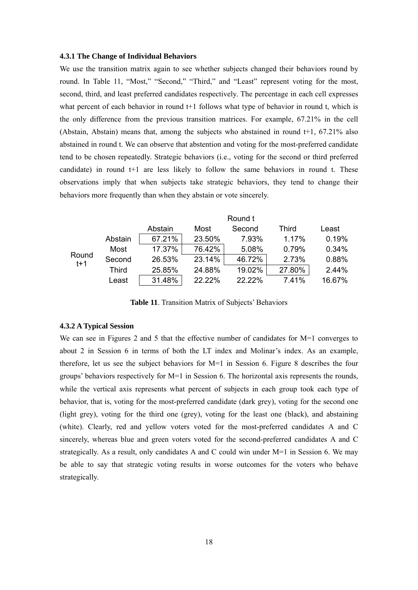#### **4.3.1 The Change of Individual Behaviors**

We use the transition matrix again to see whether subjects changed their behaviors round by round. In Table 11, "Most," "Second," "Third," and "Least" represent voting for the most, second, third, and least preferred candidates respectively. The percentage in each cell expresses what percent of each behavior in round t+1 follows what type of behavior in round t, which is the only difference from the previous transition matrices. For example, 67.21% in the cell (Abstain, Abstain) means that, among the subjects who abstained in round t+1, 67.21% also abstained in round t. We can observe that abstention and voting for the most-preferred candidate tend to be chosen repeatedly. Strategic behaviors (i.e., voting for the second or third preferred candidate) in round t+1 are less likely to follow the same behaviors in round t. These observations imply that when subjects take strategic behaviors, they tend to change their behaviors more frequently than when they abstain or vote sincerely.

|              |         |        | Round t |              |        |
|--------------|---------|--------|---------|--------------|--------|
|              | Abstain | Most   | Second  | <b>Third</b> | Least  |
| Abstain      | 67.21%  | 23.50% | 7.93%   | 1.17%        | 0.19%  |
| Most         | 17.37%  | 76.42% | 5.08%   | 0.79%        | 0.34%  |
| Second       | 26.53%  | 23.14% | 46.72%  | 2.73%        | 0.88%  |
| <b>Third</b> | 25.85%  | 24.88% | 19.02%  | 27.80%       | 2.44%  |
| Least        | 31.48%  | 22.22% | 22.22%  | 7.41%        | 16.67% |
|              |         |        |         |              |        |

**Table 11**. Transition Matrix of Subjects' Behaviors

### **4.3.2 A Typical Session**

We can see in Figures 2 and 5 that the effective number of candidates for M=1 converges to about 2 in Session 6 in terms of both the LT index and Molinar's index. As an example, therefore, let us see the subject behaviors for M=1 in Session 6. Figure 8 describes the four groups' behaviors respectively for M=1 in Session 6. The horizontal axis represents the rounds, while the vertical axis represents what percent of subjects in each group took each type of behavior, that is, voting for the most-preferred candidate (dark grey), voting for the second one (light grey), voting for the third one (grey), voting for the least one (black), and abstaining (white). Clearly, red and yellow voters voted for the most-preferred candidates A and C sincerely, whereas blue and green voters voted for the second-preferred candidates A and C strategically. As a result, only candidates A and C could win under M=1 in Session 6. We may be able to say that strategic voting results in worse outcomes for the voters who behave strategically.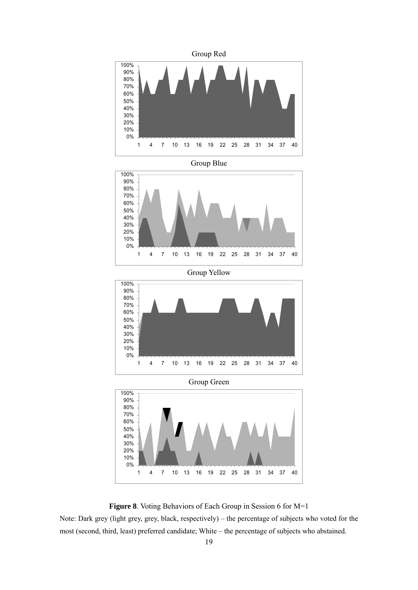

**Figure 8**. Voting Behaviors of Each Group in Session 6 for M=1

Note: Dark grey (light grey, grey, black, respectively) – the percentage of subjects who voted for the most (second, third, least) preferred candidate; White – the percentage of subjects who abstained.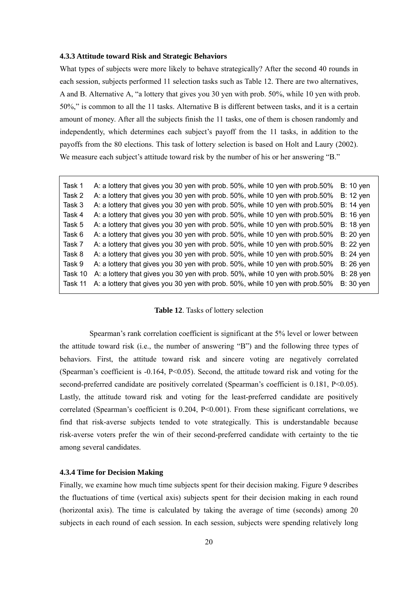#### **4.3.3 Attitude toward Risk and Strategic Behaviors**

What types of subjects were more likely to behave strategically? After the second 40 rounds in each session, subjects performed 11 selection tasks such as Table 12. There are two alternatives, A and B. Alternative A, "a lottery that gives you 30 yen with prob. 50%, while 10 yen with prob. 50%," is common to all the 11 tasks. Alternative B is different between tasks, and it is a certain amount of money. After all the subjects finish the 11 tasks, one of them is chosen randomly and independently, which determines each subject's payoff from the 11 tasks, in addition to the payoffs from the 80 elections. This task of lottery selection is based on Holt and Laury (2002). We measure each subject's attitude toward risk by the number of his or her answering "B."

| Task 1  | A: a lottery that gives you 30 yen with prob. 50%, while 10 yen with prob.50% | <b>B:</b> 10 yen |
|---------|-------------------------------------------------------------------------------|------------------|
| Task 2  | A: a lottery that gives you 30 yen with prob. 50%, while 10 yen with prob.50% | <b>B:</b> 12 yen |
| Task 3  | A: a lottery that gives you 30 yen with prob. 50%, while 10 yen with prob.50% | <b>B:</b> 14 yen |
| Task 4  | A: a lottery that gives you 30 yen with prob. 50%, while 10 yen with prob.50% | <b>B:</b> 16 yen |
| Task 5  | A: a lottery that gives you 30 yen with prob. 50%, while 10 yen with prob.50% | <b>B:</b> 18 yen |
| Task 6  | A: a lottery that gives you 30 yen with prob. 50%, while 10 yen with prob.50% | <b>B: 20 yen</b> |
| Task 7  | A: a lottery that gives you 30 yen with prob. 50%, while 10 yen with prob.50% | <b>B:</b> 22 yen |
| Task 8  | A: a lottery that gives you 30 yen with prob. 50%, while 10 yen with prob.50% | <b>B: 24 yen</b> |
| Task 9  | A: a lottery that gives you 30 yen with prob. 50%, while 10 yen with prob.50% | <b>B: 26 yen</b> |
| Task 10 | A: a lottery that gives you 30 yen with prob. 50%, while 10 yen with prob.50% | <b>B: 28 yen</b> |
| Task 11 | A: a lottery that gives you 30 yen with prob. 50%, while 10 yen with prob.50% | <b>B:</b> 30 yen |

#### **Table 12**. Tasks of lottery selection

Spearman's rank correlation coefficient is significant at the 5% level or lower between the attitude toward risk (i.e., the number of answering "B") and the following three types of behaviors. First, the attitude toward risk and sincere voting are negatively correlated (Spearman's coefficient is -0.164, P<0.05). Second, the attitude toward risk and voting for the second-preferred candidate are positively correlated (Spearman's coefficient is 0.181, P<0.05). Lastly, the attitude toward risk and voting for the least-preferred candidate are positively correlated (Spearman's coefficient is 0.204, P<0.001). From these significant correlations, we find that risk-averse subjects tended to vote strategically. This is understandable because risk-averse voters prefer the win of their second-preferred candidate with certainty to the tie among several candidates.

## **4.3.4 Time for Decision Making**

Finally, we examine how much time subjects spent for their decision making. Figure 9 describes the fluctuations of time (vertical axis) subjects spent for their decision making in each round (horizontal axis). The time is calculated by taking the average of time (seconds) among 20 subjects in each round of each session. In each session, subjects were spending relatively long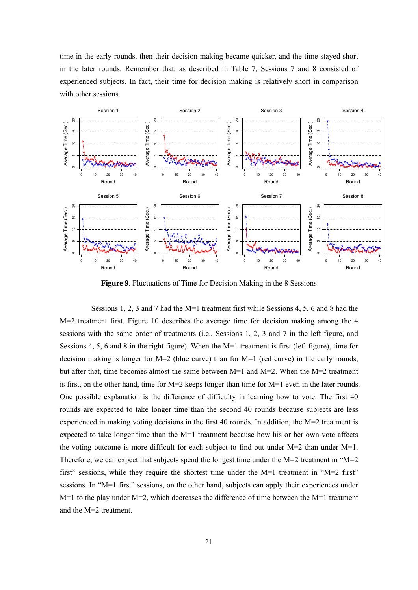time in the early rounds, then their decision making became quicker, and the time stayed short in the later rounds. Remember that, as described in Table 7, Sessions 7 and 8 consisted of experienced subjects. In fact, their time for decision making is relatively short in comparison with other sessions.



**Figure 9**. Fluctuations of Time for Decision Making in the 8 Sessions

 Sessions 1, 2, 3 and 7 had the M=1 treatment first while Sessions 4, 5, 6 and 8 had the M=2 treatment first. Figure 10 describes the average time for decision making among the 4 sessions with the same order of treatments (i.e., Sessions 1, 2, 3 and 7 in the left figure, and Sessions 4, 5, 6 and 8 in the right figure). When the M=1 treatment is first (left figure), time for decision making is longer for M=2 (blue curve) than for M=1 (red curve) in the early rounds, but after that, time becomes almost the same between  $M=1$  and  $M=2$ . When the  $M=2$  treatment is first, on the other hand, time for M=2 keeps longer than time for M=1 even in the later rounds. One possible explanation is the difference of difficulty in learning how to vote. The first 40 rounds are expected to take longer time than the second 40 rounds because subjects are less experienced in making voting decisions in the first 40 rounds. In addition, the M=2 treatment is expected to take longer time than the  $M=1$  treatment because how his or her own vote affects the voting outcome is more difficult for each subject to find out under  $M=2$  than under  $M=1$ . Therefore, we can expect that subjects spend the longest time under the  $M=2$  treatment in " $M=2$ first" sessions, while they require the shortest time under the M=1 treatment in "M=2 first" sessions. In "M=1 first" sessions, on the other hand, subjects can apply their experiences under  $M=1$  to the play under  $M=2$ , which decreases the difference of time between the  $M=1$  treatment and the M=2 treatment.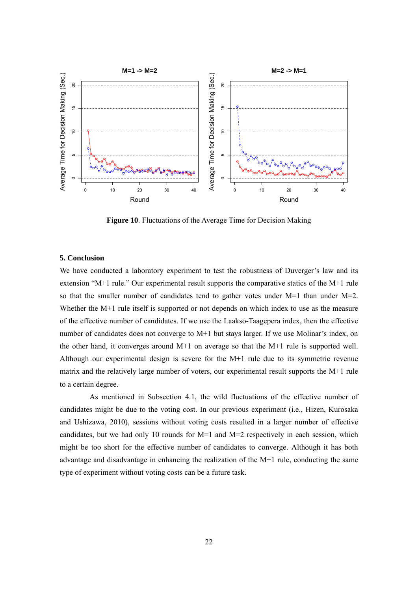

**Figure 10**. Fluctuations of the Average Time for Decision Making

## **5. Conclusion**

We have conducted a laboratory experiment to test the robustness of Duverger's law and its extension "M+1 rule." Our experimental result supports the comparative statics of the M+1 rule so that the smaller number of candidates tend to gather votes under  $M=1$  than under  $M=2$ . Whether the M+1 rule itself is supported or not depends on which index to use as the measure of the effective number of candidates. If we use the Laakso-Taagepera index, then the effective number of candidates does not converge to M+1 but stays larger. If we use Molinar's index, on the other hand, it converges around  $M+1$  on average so that the  $M+1$  rule is supported well. Although our experimental design is severe for the M+1 rule due to its symmetric revenue matrix and the relatively large number of voters, our experimental result supports the M+1 rule to a certain degree.

As mentioned in Subsection 4.1, the wild fluctuations of the effective number of candidates might be due to the voting cost. In our previous experiment (i.e., Hizen, Kurosaka and Ushizawa, 2010), sessions without voting costs resulted in a larger number of effective candidates, but we had only 10 rounds for  $M=1$  and  $M=2$  respectively in each session, which might be too short for the effective number of candidates to converge. Although it has both advantage and disadvantage in enhancing the realization of the M+1 rule, conducting the same type of experiment without voting costs can be a future task.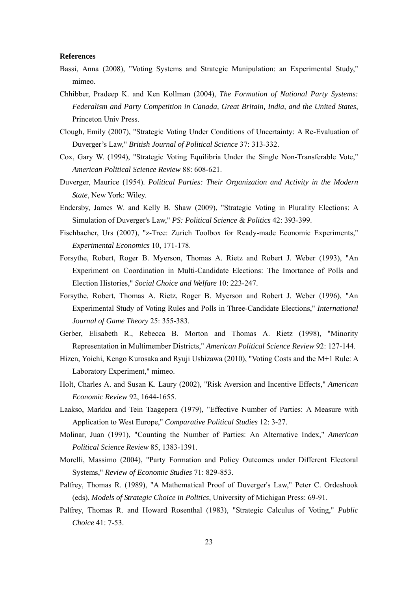#### **References**

- Bassi, Anna (2008), "Voting Systems and Strategic Manipulation: an Experimental Study," mimeo.
- Chhibber, Pradeep K. and Ken Kollman (2004), *The Formation of National Party Systems: Federalism and Party Competition in Canada, Great Britain, India, and the United States*, Princeton Univ Press.
- Clough, Emily (2007), "Strategic Voting Under Conditions of Uncertainty: A Re-Evaluation of Duverger's Law," *British Journal of Political Science* 37: 313-332.
- Cox, Gary W. (1994), "Strategic Voting Equilibria Under the Single Non-Transferable Vote," *American Political Science Review* 88: 608-621.
- Duverger, Maurice (1954). *Political Parties: Their Organization and Activity in the Modern State*, New York: Wiley.
- Endersby, James W. and Kelly B. Shaw (2009), "Strategic Voting in Plurality Elections: A Simulation of Duverger's Law," *PS: Political Science & Politics* 42: 393-399.
- Fischbacher, Urs (2007), "z-Tree: Zurich Toolbox for Ready-made Economic Experiments," *Experimental Economics* 10, 171-178.
- Forsythe, Robert, Roger B. Myerson, Thomas A. Rietz and Robert J. Weber (1993), "An Experiment on Coordination in Multi-Candidate Elections: The Imortance of Polls and Election Histories," *Social Choice and Welfare* 10: 223-247.
- Forsythe, Robert, Thomas A. Rietz, Roger B. Myerson and Robert J. Weber (1996), "An Experimental Study of Voting Rules and Polls in Three-Candidate Elections," *International Journal of Game Theory* 25: 355-383.
- Gerber, Elisabeth R., Rebecca B. Morton and Thomas A. Rietz (1998), "Minority Representation in Multimember Districts," *American Political Science Review* 92: 127-144.
- Hizen, Yoichi, Kengo Kurosaka and Ryuji Ushizawa (2010), "Voting Costs and the M+1 Rule: A Laboratory Experiment," mimeo.
- Holt, Charles A. and Susan K. Laury (2002), "Risk Aversion and Incentive Effects," *American Economic Review* 92, 1644-1655.
- Laakso, Markku and Tein Taagepera (1979), "Effective Number of Parties: A Measure with Application to West Europe," *Comparative Political Studies* 12: 3-27.
- Molinar, Juan (1991), "Counting the Number of Parties: An Alternative Index," *American Political Science Review* 85, 1383-1391.
- Morelli, Massimo (2004), "Party Formation and Policy Outcomes under Different Electoral Systems," *Review of Economic Studies* 71: 829-853.
- Palfrey, Thomas R. (1989), "A Mathematical Proof of Duverger's Law," Peter C. Ordeshook (eds), *Models of Strategic Choice in Politics*, University of Michigan Press: 69-91.
- Palfrey, Thomas R. and Howard Rosenthal (1983), "Strategic Calculus of Voting," *Public Choice* 41: 7-53.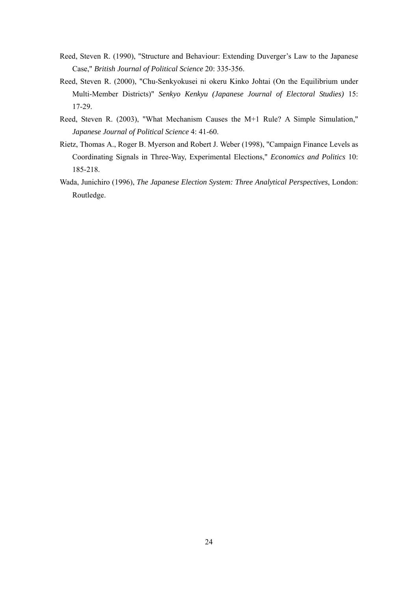- Reed, Steven R. (1990), "Structure and Behaviour: Extending Duverger's Law to the Japanese Case," *British Journal of Political Science* 20: 335-356.
- Reed, Steven R. (2000), "Chu-Senkyokusei ni okeru Kinko Johtai (On the Equilibrium under Multi-Member Districts)" *Senkyo Kenkyu (Japanese Journal of Electoral Studies)* 15: 17-29.
- Reed, Steven R. (2003), "What Mechanism Causes the M+1 Rule? A Simple Simulation," *Japanese Journal of Political Science* 4: 41-60.
- Rietz, Thomas A., Roger B. Myerson and Robert J. Weber (1998), "Campaign Finance Levels as Coordinating Signals in Three-Way, Experimental Elections," *Economics and Politics* 10: 185-218.
- Wada, Junichiro (1996), *The Japanese Election System: Three Analytical Perspectives*, London: Routledge.